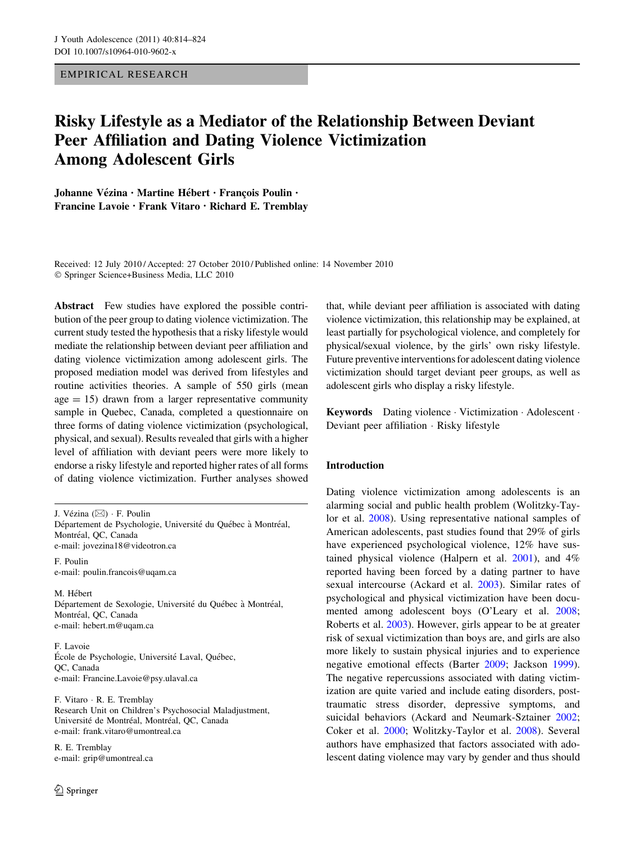# EMPIRICAL RESEARCH

# Risky Lifestyle as a Mediator of the Relationship Between Deviant Peer Affiliation and Dating Violence Victimization Among Adolescent Girls

Johanne Vézina • Martine Hébert • François Poulin • Francine Lavoie • Frank Vitaro • Richard E. Tremblay

Received: 12 July 2010 / Accepted: 27 October 2010 / Published online: 14 November 2010 - Springer Science+Business Media, LLC 2010

Abstract Few studies have explored the possible contribution of the peer group to dating violence victimization. The current study tested the hypothesis that a risky lifestyle would mediate the relationship between deviant peer affiliation and dating violence victimization among adolescent girls. The proposed mediation model was derived from lifestyles and routine activities theories. A sample of 550 girls (mean age  $= 15$ ) drawn from a larger representative community sample in Quebec, Canada, completed a questionnaire on three forms of dating violence victimization (psychological, physical, and sexual). Results revealed that girls with a higher level of affiliation with deviant peers were more likely to endorse a risky lifestyle and reported higher rates of all forms of dating violence victimization. Further analyses showed

J. Vézina  $(\boxtimes) \cdot$  F. Poulin Département de Psychologie, Université du Québec à Montréal, Montréal, QC, Canada e-mail: jovezina18@videotron.ca

F. Poulin e-mail: poulin.francois@uqam.ca

M. Hébert Département de Sexologie, Université du Québec à Montréal, Montréal, QC, Canada e-mail: hebert.m@uqam.ca

F. Lavoie École de Psychologie, Université Laval, Québec, QC, Canada e-mail: Francine.Lavoie@psy.ulaval.ca

F. Vitaro - R. E. Tremblay Research Unit on Children's Psychosocial Maladjustment, Université de Montréal, Montréal, QC, Canada e-mail: frank.vitaro@umontreal.ca

R. E. Tremblay e-mail: grip@umontreal.ca that, while deviant peer affiliation is associated with dating violence victimization, this relationship may be explained, at least partially for psychological violence, and completely for physical/sexual violence, by the girls' own risky lifestyle. Future preventive interventions for adolescent dating violence victimization should target deviant peer groups, as well as adolescent girls who display a risky lifestyle.

Keywords Dating violence - Victimization - Adolescent - Deviant peer affiliation - Risky lifestyle

# Introduction

Dating violence victimization among adolescents is an alarming social and public health problem (Wolitzky-Taylor et al. [2008](#page-10-0)). Using representative national samples of American adolescents, past studies found that 29% of girls have experienced psychological violence, 12% have sustained physical violence (Halpern et al. [2001\)](#page-9-0), and 4% reported having been forced by a dating partner to have sexual intercourse (Ackard et al. [2003](#page-8-0)). Similar rates of psychological and physical victimization have been documented among adolescent boys (O'Leary et al. [2008](#page-9-0); Roberts et al. [2003\)](#page-9-0). However, girls appear to be at greater risk of sexual victimization than boys are, and girls are also more likely to sustain physical injuries and to experience negative emotional effects (Barter [2009](#page-8-0); Jackson [1999](#page-9-0)). The negative repercussions associated with dating victimization are quite varied and include eating disorders, posttraumatic stress disorder, depressive symptoms, and suicidal behaviors (Ackard and Neumark-Sztainer [2002](#page-8-0); Coker et al. [2000](#page-9-0); Wolitzky-Taylor et al. [2008](#page-10-0)). Several authors have emphasized that factors associated with adolescent dating violence may vary by gender and thus should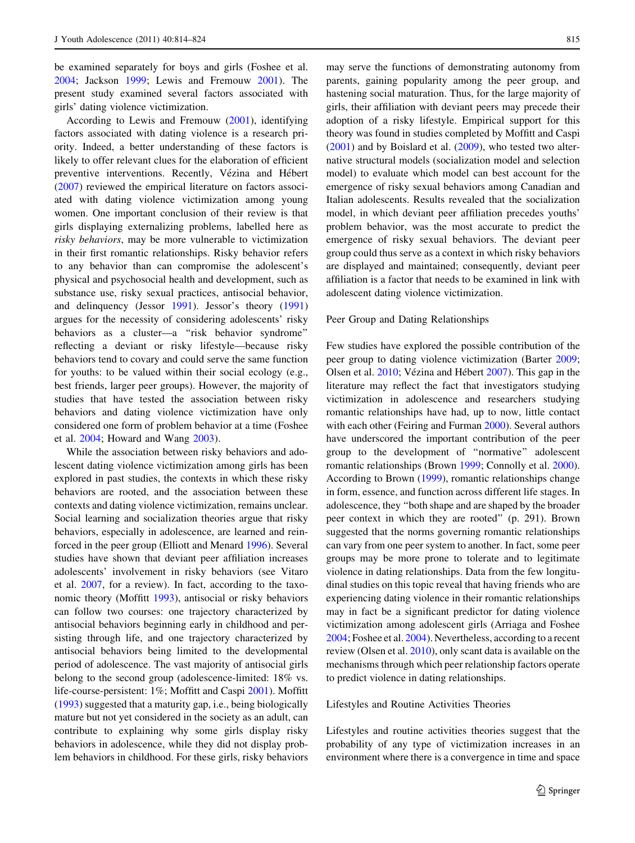be examined separately for boys and girls (Foshee et al. [2004;](#page-9-0) Jackson [1999](#page-9-0); Lewis and Fremouw [2001\)](#page-9-0). The present study examined several factors associated with girls' dating violence victimization.

According to Lewis and Fremouw ([2001\)](#page-9-0), identifying factors associated with dating violence is a research priority. Indeed, a better understanding of these factors is likely to offer relevant clues for the elaboration of efficient preventive interventions. Recently, Vézina and Hébert [\(2007](#page-10-0)) reviewed the empirical literature on factors associated with dating violence victimization among young women. One important conclusion of their review is that girls displaying externalizing problems, labelled here as risky behaviors, may be more vulnerable to victimization in their first romantic relationships. Risky behavior refers to any behavior than can compromise the adolescent's physical and psychosocial health and development, such as substance use, risky sexual practices, antisocial behavior, and delinquency (Jessor [1991\)](#page-9-0). Jessor's theory ([1991\)](#page-9-0) argues for the necessity of considering adolescents' risky behaviors as a cluster—a "risk behavior syndrome" reflecting a deviant or risky lifestyle—because risky behaviors tend to covary and could serve the same function for youths: to be valued within their social ecology (e.g., best friends, larger peer groups). However, the majority of studies that have tested the association between risky behaviors and dating violence victimization have only considered one form of problem behavior at a time (Foshee et al. [2004;](#page-9-0) Howard and Wang [2003](#page-9-0)).

While the association between risky behaviors and adolescent dating violence victimization among girls has been explored in past studies, the contexts in which these risky behaviors are rooted, and the association between these contexts and dating violence victimization, remains unclear. Social learning and socialization theories argue that risky behaviors, especially in adolescence, are learned and reinforced in the peer group (Elliott and Menard [1996\)](#page-9-0). Several studies have shown that deviant peer affiliation increases adolescents' involvement in risky behaviors (see Vitaro et al. [2007,](#page-10-0) for a review). In fact, according to the taxonomic theory (Moffitt [1993\)](#page-9-0), antisocial or risky behaviors can follow two courses: one trajectory characterized by antisocial behaviors beginning early in childhood and persisting through life, and one trajectory characterized by antisocial behaviors being limited to the developmental period of adolescence. The vast majority of antisocial girls belong to the second group (adolescence-limited: 18% vs. life-course-persistent: 1%; Moffitt and Caspi [2001\)](#page-9-0). Moffitt [\(1993](#page-9-0)) suggested that a maturity gap, i.e., being biologically mature but not yet considered in the society as an adult, can contribute to explaining why some girls display risky behaviors in adolescence, while they did not display problem behaviors in childhood. For these girls, risky behaviors may serve the functions of demonstrating autonomy from parents, gaining popularity among the peer group, and hastening social maturation. Thus, for the large majority of girls, their affiliation with deviant peers may precede their adoption of a risky lifestyle. Empirical support for this theory was found in studies completed by Moffitt and Caspi [\(2001](#page-9-0)) and by Boislard et al. ([2009\)](#page-9-0), who tested two alternative structural models (socialization model and selection model) to evaluate which model can best account for the emergence of risky sexual behaviors among Canadian and Italian adolescents. Results revealed that the socialization model, in which deviant peer affiliation precedes youths' problem behavior, was the most accurate to predict the emergence of risky sexual behaviors. The deviant peer group could thus serve as a context in which risky behaviors are displayed and maintained; consequently, deviant peer affiliation is a factor that needs to be examined in link with adolescent dating violence victimization.

#### Peer Group and Dating Relationships

Few studies have explored the possible contribution of the peer group to dating violence victimization (Barter [2009](#page-8-0); Olsen et al. [2010;](#page-9-0) Vézina and Hébert [2007](#page-10-0)). This gap in the literature may reflect the fact that investigators studying victimization in adolescence and researchers studying romantic relationships have had, up to now, little contact with each other (Feiring and Furman [2000](#page-9-0)). Several authors have underscored the important contribution of the peer group to the development of ''normative'' adolescent romantic relationships (Brown [1999](#page-9-0); Connolly et al. [2000](#page-9-0)). According to Brown ([1999\)](#page-9-0), romantic relationships change in form, essence, and function across different life stages. In adolescence, they ''both shape and are shaped by the broader peer context in which they are rooted'' (p. 291). Brown suggested that the norms governing romantic relationships can vary from one peer system to another. In fact, some peer groups may be more prone to tolerate and to legitimate violence in dating relationships. Data from the few longitudinal studies on this topic reveal that having friends who are experiencing dating violence in their romantic relationships may in fact be a significant predictor for dating violence victimization among adolescent girls (Arriaga and Foshee [2004](#page-8-0); Foshee et al. [2004](#page-9-0)). Nevertheless, according to a recent review (Olsen et al. [2010\)](#page-9-0), only scant data is available on the mechanisms through which peer relationship factors operate to predict violence in dating relationships.

#### Lifestyles and Routine Activities Theories

Lifestyles and routine activities theories suggest that the probability of any type of victimization increases in an environment where there is a convergence in time and space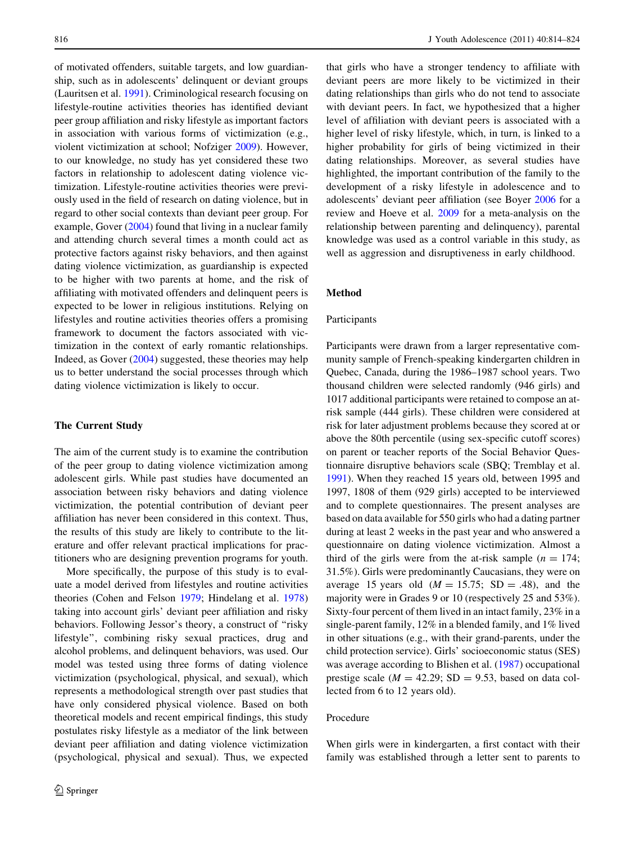of motivated offenders, suitable targets, and low guardianship, such as in adolescents' delinquent or deviant groups (Lauritsen et al. [1991\)](#page-9-0). Criminological research focusing on lifestyle-routine activities theories has identified deviant peer group affiliation and risky lifestyle as important factors in association with various forms of victimization (e.g., violent victimization at school; Nofziger [2009\)](#page-9-0). However, to our knowledge, no study has yet considered these two factors in relationship to adolescent dating violence victimization. Lifestyle-routine activities theories were previously used in the field of research on dating violence, but in regard to other social contexts than deviant peer group. For example, Gover [\(2004](#page-9-0)) found that living in a nuclear family and attending church several times a month could act as protective factors against risky behaviors, and then against dating violence victimization, as guardianship is expected to be higher with two parents at home, and the risk of affiliating with motivated offenders and delinquent peers is expected to be lower in religious institutions. Relying on lifestyles and routine activities theories offers a promising framework to document the factors associated with victimization in the context of early romantic relationships. Indeed, as Gover ([2004\)](#page-9-0) suggested, these theories may help us to better understand the social processes through which dating violence victimization is likely to occur.

## The Current Study

The aim of the current study is to examine the contribution of the peer group to dating violence victimization among adolescent girls. While past studies have documented an association between risky behaviors and dating violence victimization, the potential contribution of deviant peer affiliation has never been considered in this context. Thus, the results of this study are likely to contribute to the literature and offer relevant practical implications for practitioners who are designing prevention programs for youth.

More specifically, the purpose of this study is to evaluate a model derived from lifestyles and routine activities theories (Cohen and Felson [1979;](#page-9-0) Hindelang et al. [1978\)](#page-9-0) taking into account girls' deviant peer affiliation and risky behaviors. Following Jessor's theory, a construct of ''risky lifestyle'', combining risky sexual practices, drug and alcohol problems, and delinquent behaviors, was used. Our model was tested using three forms of dating violence victimization (psychological, physical, and sexual), which represents a methodological strength over past studies that have only considered physical violence. Based on both theoretical models and recent empirical findings, this study postulates risky lifestyle as a mediator of the link between deviant peer affiliation and dating violence victimization (psychological, physical and sexual). Thus, we expected

that girls who have a stronger tendency to affiliate with deviant peers are more likely to be victimized in their dating relationships than girls who do not tend to associate with deviant peers. In fact, we hypothesized that a higher level of affiliation with deviant peers is associated with a higher level of risky lifestyle, which, in turn, is linked to a higher probability for girls of being victimized in their dating relationships. Moreover, as several studies have highlighted, the important contribution of the family to the development of a risky lifestyle in adolescence and to adolescents' deviant peer affiliation (see Boyer [2006](#page-9-0) for a review and Hoeve et al. [2009](#page-9-0) for a meta-analysis on the relationship between parenting and delinquency), parental knowledge was used as a control variable in this study, as well as aggression and disruptiveness in early childhood.

# Method

## Participants

Participants were drawn from a larger representative community sample of French-speaking kindergarten children in Quebec, Canada, during the 1986–1987 school years. Two thousand children were selected randomly (946 girls) and 1017 additional participants were retained to compose an atrisk sample (444 girls). These children were considered at risk for later adjustment problems because they scored at or above the 80th percentile (using sex-specific cutoff scores) on parent or teacher reports of the Social Behavior Questionnaire disruptive behaviors scale (SBQ; Tremblay et al. [1991](#page-10-0)). When they reached 15 years old, between 1995 and 1997, 1808 of them (929 girls) accepted to be interviewed and to complete questionnaires. The present analyses are based on data available for 550 girls who had a dating partner during at least 2 weeks in the past year and who answered a questionnaire on dating violence victimization. Almost a third of the girls were from the at-risk sample ( $n = 174$ ; 31.5%). Girls were predominantly Caucasians, they were on average 15 years old  $(M = 15.75; SD = .48)$ , and the majority were in Grades 9 or 10 (respectively 25 and 53%). Sixty-four percent of them lived in an intact family, 23% in a single-parent family, 12% in a blended family, and 1% lived in other situations (e.g., with their grand-parents, under the child protection service). Girls' socioeconomic status (SES) was average according to Blishen et al. [\(1987](#page-8-0)) occupational prestige scale ( $M = 42.29$ ; SD = 9.53, based on data collected from 6 to 12 years old).

# Procedure

When girls were in kindergarten, a first contact with their family was established through a letter sent to parents to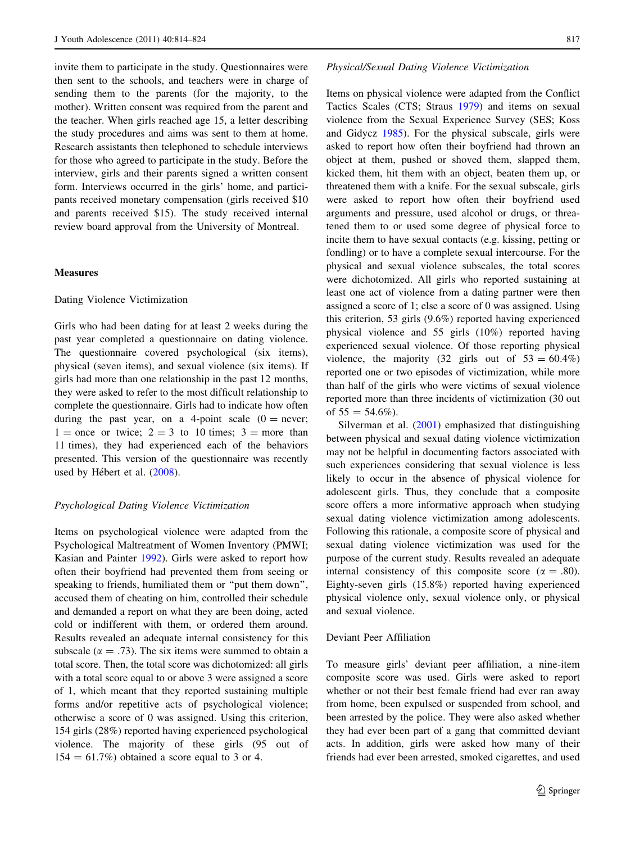invite them to participate in the study. Questionnaires were then sent to the schools, and teachers were in charge of sending them to the parents (for the majority, to the mother). Written consent was required from the parent and the teacher. When girls reached age 15, a letter describing the study procedures and aims was sent to them at home. Research assistants then telephoned to schedule interviews for those who agreed to participate in the study. Before the interview, girls and their parents signed a written consent form. Interviews occurred in the girls' home, and participants received monetary compensation (girls received \$10 and parents received \$15). The study received internal review board approval from the University of Montreal.

# **Measures**

## Dating Violence Victimization

Girls who had been dating for at least 2 weeks during the past year completed a questionnaire on dating violence. The questionnaire covered psychological (six items), physical (seven items), and sexual violence (six items). If girls had more than one relationship in the past 12 months, they were asked to refer to the most difficult relationship to complete the questionnaire. Girls had to indicate how often during the past year, on a 4-point scale  $(0 = never;$  $1 =$  once or twice;  $2 = 3$  to 10 times;  $3 =$  more than 11 times), they had experienced each of the behaviors presented. This version of the questionnaire was recently used by Hébert et al.  $(2008)$  $(2008)$ .

## Psychological Dating Violence Victimization

Items on psychological violence were adapted from the Psychological Maltreatment of Women Inventory (PMWI; Kasian and Painter [1992\)](#page-9-0). Girls were asked to report how often their boyfriend had prevented them from seeing or speaking to friends, humiliated them or ''put them down'', accused them of cheating on him, controlled their schedule and demanded a report on what they are been doing, acted cold or indifferent with them, or ordered them around. Results revealed an adequate internal consistency for this subscale ( $\alpha = .73$ ). The six items were summed to obtain a total score. Then, the total score was dichotomized: all girls with a total score equal to or above 3 were assigned a score of 1, which meant that they reported sustaining multiple forms and/or repetitive acts of psychological violence; otherwise a score of 0 was assigned. Using this criterion, 154 girls (28%) reported having experienced psychological violence. The majority of these girls (95 out of  $154 = 61.7\%)$  obtained a score equal to 3 or 4.

#### Physical/Sexual Dating Violence Victimization

Items on physical violence were adapted from the Conflict Tactics Scales (CTS; Straus [1979\)](#page-10-0) and items on sexual violence from the Sexual Experience Survey (SES; Koss and Gidycz [1985](#page-9-0)). For the physical subscale, girls were asked to report how often their boyfriend had thrown an object at them, pushed or shoved them, slapped them, kicked them, hit them with an object, beaten them up, or threatened them with a knife. For the sexual subscale, girls were asked to report how often their boyfriend used arguments and pressure, used alcohol or drugs, or threatened them to or used some degree of physical force to incite them to have sexual contacts (e.g. kissing, petting or fondling) or to have a complete sexual intercourse. For the physical and sexual violence subscales, the total scores were dichotomized. All girls who reported sustaining at least one act of violence from a dating partner were then assigned a score of 1; else a score of 0 was assigned. Using this criterion, 53 girls (9.6%) reported having experienced physical violence and 55 girls (10%) reported having experienced sexual violence. Of those reporting physical violence, the majority (32 girls out of  $53 = 60.4\%$ ) reported one or two episodes of victimization, while more than half of the girls who were victims of sexual violence reported more than three incidents of victimization (30 out of  $55 = 54.6\%$ ).

Silverman et al. [\(2001](#page-10-0)) emphasized that distinguishing between physical and sexual dating violence victimization may not be helpful in documenting factors associated with such experiences considering that sexual violence is less likely to occur in the absence of physical violence for adolescent girls. Thus, they conclude that a composite score offers a more informative approach when studying sexual dating violence victimization among adolescents. Following this rationale, a composite score of physical and sexual dating violence victimization was used for the purpose of the current study. Results revealed an adequate internal consistency of this composite score ( $\alpha = .80$ ). Eighty-seven girls (15.8%) reported having experienced physical violence only, sexual violence only, or physical and sexual violence.

#### Deviant Peer Affiliation

To measure girls' deviant peer affiliation, a nine-item composite score was used. Girls were asked to report whether or not their best female friend had ever ran away from home, been expulsed or suspended from school, and been arrested by the police. They were also asked whether they had ever been part of a gang that committed deviant acts. In addition, girls were asked how many of their friends had ever been arrested, smoked cigarettes, and used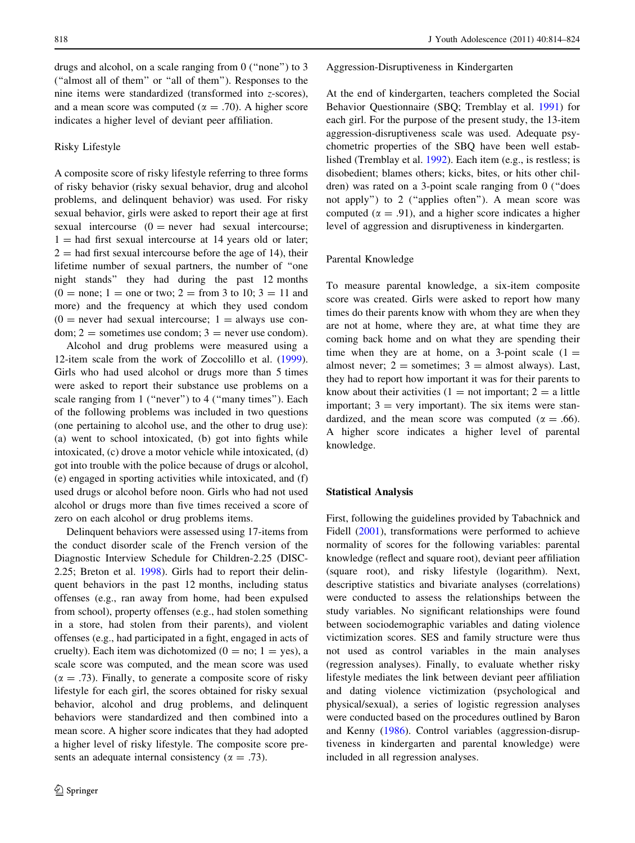drugs and alcohol, on a scale ranging from 0 (''none'') to 3 (''almost all of them'' or ''all of them''). Responses to the nine items were standardized (transformed into z-scores), and a mean score was computed ( $\alpha = .70$ ). A higher score indicates a higher level of deviant peer affiliation.

# Risky Lifestyle

A composite score of risky lifestyle referring to three forms of risky behavior (risky sexual behavior, drug and alcohol problems, and delinquent behavior) was used. For risky sexual behavior, girls were asked to report their age at first sexual intercourse  $(0 =$  never had sexual intercourse;  $1 =$  had first sexual intercourse at 14 years old or later;  $2 =$  had first sexual intercourse before the age of 14), their lifetime number of sexual partners, the number of ''one night stands'' they had during the past 12 months  $(0 = none; 1 = one or two; 2 = from 3 to 10; 3 = 11 and$ more) and the frequency at which they used condom  $(0 =$  never had sexual intercourse;  $1 =$  always use condom;  $2 =$  sometimes use condom;  $3 =$  never use condom).

Alcohol and drug problems were measured using a 12-item scale from the work of Zoccolillo et al. [\(1999](#page-10-0)). Girls who had used alcohol or drugs more than 5 times were asked to report their substance use problems on a scale ranging from 1 ("never") to 4 ("many times"). Each of the following problems was included in two questions (one pertaining to alcohol use, and the other to drug use): (a) went to school intoxicated, (b) got into fights while intoxicated, (c) drove a motor vehicle while intoxicated, (d) got into trouble with the police because of drugs or alcohol, (e) engaged in sporting activities while intoxicated, and (f) used drugs or alcohol before noon. Girls who had not used alcohol or drugs more than five times received a score of zero on each alcohol or drug problems items.

Delinquent behaviors were assessed using 17-items from the conduct disorder scale of the French version of the Diagnostic Interview Schedule for Children-2.25 (DISC-2.25; Breton et al. [1998](#page-9-0)). Girls had to report their delinquent behaviors in the past 12 months, including status offenses (e.g., ran away from home, had been expulsed from school), property offenses (e.g., had stolen something in a store, had stolen from their parents), and violent offenses (e.g., had participated in a fight, engaged in acts of cruelty). Each item was dichotomized ( $0 = no$ ; 1 = yes), a scale score was computed, and the mean score was used  $(\alpha = .73)$ . Finally, to generate a composite score of risky lifestyle for each girl, the scores obtained for risky sexual behavior, alcohol and drug problems, and delinquent behaviors were standardized and then combined into a mean score. A higher score indicates that they had adopted a higher level of risky lifestyle. The composite score presents an adequate internal consistency ( $\alpha = .73$ ).

#### Aggression-Disruptiveness in Kindergarten

At the end of kindergarten, teachers completed the Social Behavior Questionnaire (SBQ; Tremblay et al. [1991](#page-10-0)) for each girl. For the purpose of the present study, the 13-item aggression-disruptiveness scale was used. Adequate psychometric properties of the SBQ have been well established (Tremblay et al. [1992\)](#page-10-0). Each item (e.g., is restless; is disobedient; blames others; kicks, bites, or hits other children) was rated on a 3-point scale ranging from 0 (''does not apply'') to 2 (''applies often''). A mean score was computed ( $\alpha = .91$ ), and a higher score indicates a higher level of aggression and disruptiveness in kindergarten.

## Parental Knowledge

To measure parental knowledge, a six-item composite score was created. Girls were asked to report how many times do their parents know with whom they are when they are not at home, where they are, at what time they are coming back home and on what they are spending their time when they are at home, on a 3-point scale  $(1 =$ almost never;  $2 =$  sometimes;  $3 =$  almost always). Last, they had to report how important it was for their parents to know about their activities (1 = not important; 2 = a little important;  $3 = \text{very important}$ . The six items were standardized, and the mean score was computed ( $\alpha = .66$ ). A higher score indicates a higher level of parental knowledge.

## Statistical Analysis

First, following the guidelines provided by Tabachnick and Fidell ([2001\)](#page-10-0), transformations were performed to achieve normality of scores for the following variables: parental knowledge (reflect and square root), deviant peer affiliation (square root), and risky lifestyle (logarithm). Next, descriptive statistics and bivariate analyses (correlations) were conducted to assess the relationships between the study variables. No significant relationships were found between sociodemographic variables and dating violence victimization scores. SES and family structure were thus not used as control variables in the main analyses (regression analyses). Finally, to evaluate whether risky lifestyle mediates the link between deviant peer affiliation and dating violence victimization (psychological and physical/sexual), a series of logistic regression analyses were conducted based on the procedures outlined by Baron and Kenny ([1986\)](#page-8-0). Control variables (aggression-disruptiveness in kindergarten and parental knowledge) were included in all regression analyses.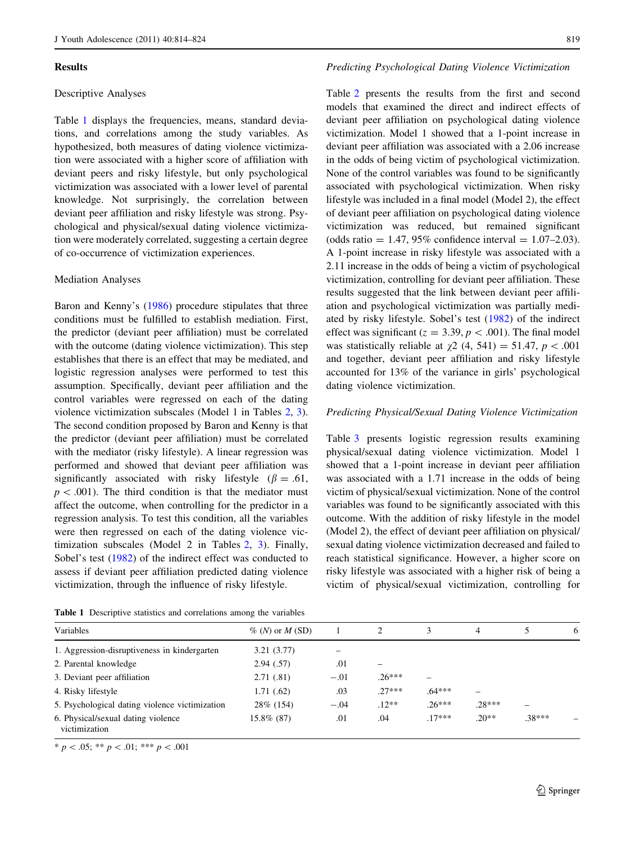#### Results

## Descriptive Analyses

Table 1 displays the frequencies, means, standard deviations, and correlations among the study variables. As hypothesized, both measures of dating violence victimization were associated with a higher score of affiliation with deviant peers and risky lifestyle, but only psychological victimization was associated with a lower level of parental knowledge. Not surprisingly, the correlation between deviant peer affiliation and risky lifestyle was strong. Psychological and physical/sexual dating violence victimization were moderately correlated, suggesting a certain degree of co-occurrence of victimization experiences.

## Mediation Analyses

Baron and Kenny's [\(1986](#page-8-0)) procedure stipulates that three conditions must be fulfilled to establish mediation. First, the predictor (deviant peer affiliation) must be correlated with the outcome (dating violence victimization). This step establishes that there is an effect that may be mediated, and logistic regression analyses were performed to test this assumption. Specifically, deviant peer affiliation and the control variables were regressed on each of the dating violence victimization subscales (Model 1 in Tables [2,](#page-6-0) [3](#page-6-0)). The second condition proposed by Baron and Kenny is that the predictor (deviant peer affiliation) must be correlated with the mediator (risky lifestyle). A linear regression was performed and showed that deviant peer affiliation was significantly associated with risky lifestyle ( $\beta = .61$ ,  $p\lt 0.001$ . The third condition is that the mediator must affect the outcome, when controlling for the predictor in a regression analysis. To test this condition, all the variables were then regressed on each of the dating violence victimization subscales (Model 2 in Tables [2](#page-6-0), [3\)](#page-6-0). Finally, Sobel's test ([1982\)](#page-10-0) of the indirect effect was conducted to assess if deviant peer affiliation predicted dating violence victimization, through the influence of risky lifestyle.

Table 1 Descriptive statistics and correlations among the variables

#### Predicting Psychological Dating Violence Victimization

Table [2](#page-6-0) presents the results from the first and second models that examined the direct and indirect effects of deviant peer affiliation on psychological dating violence victimization. Model 1 showed that a 1-point increase in deviant peer affiliation was associated with a 2.06 increase in the odds of being victim of psychological victimization. None of the control variables was found to be significantly associated with psychological victimization. When risky lifestyle was included in a final model (Model 2), the effect of deviant peer affiliation on psychological dating violence victimization was reduced, but remained significant (odds ratio = 1.47, 95% confidence interval =  $1.07-2.03$ ). A 1-point increase in risky lifestyle was associated with a 2.11 increase in the odds of being a victim of psychological victimization, controlling for deviant peer affiliation. These results suggested that the link between deviant peer affiliation and psychological victimization was partially mediated by risky lifestyle. Sobel's test [\(1982](#page-10-0)) of the indirect effect was significant ( $z = 3.39$ ,  $p < .001$ ). The final model was statistically reliable at  $\chi$ 2 (4, 541) = 51.47, p < .001 and together, deviant peer affiliation and risky lifestyle accounted for 13% of the variance in girls' psychological dating violence victimization.

## Predicting Physical/Sexual Dating Violence Victimization

Table [3](#page-6-0) presents logistic regression results examining physical/sexual dating violence victimization. Model 1 showed that a 1-point increase in deviant peer affiliation was associated with a 1.71 increase in the odds of being victim of physical/sexual victimization. None of the control variables was found to be significantly associated with this outcome. With the addition of risky lifestyle in the model (Model 2), the effect of deviant peer affiliation on physical/ sexual dating violence victimization decreased and failed to reach statistical significance. However, a higher score on risky lifestyle was associated with a higher risk of being a victim of physical/sexual victimization, controlling for

| Variables                                           | $\%$ (N) or M (SD) |        | 2               |          | 4       |        | 6 |
|-----------------------------------------------------|--------------------|--------|-----------------|----------|---------|--------|---|
| 1. Aggression-disruptiveness in kindergarten        | 3.21(3.77)         |        |                 |          |         |        |   |
| 2. Parental knowledge                               | 2.94(.57)          | .01    | $\qquad \qquad$ |          |         |        |   |
| 3. Deviant peer affiliation                         | 2.71(0.81)         | $-.01$ | $26***$         | -        |         |        |   |
| 4. Risky lifestyle                                  | 1.71(62)           | .03    | $.27***$        | $.64***$ |         |        |   |
| 5. Psychological dating violence victimization      | 28\% (154)         | $-.04$ | $.12**$         | $26***$  | $28***$ |        |   |
| 6. Physical/sexual dating violence<br>victimization | 15.8% (87)         | .01    | .04             | $.17***$ | $.20**$ | .38*** |   |

 $* p < .05; ** p < .01; *** p < .001$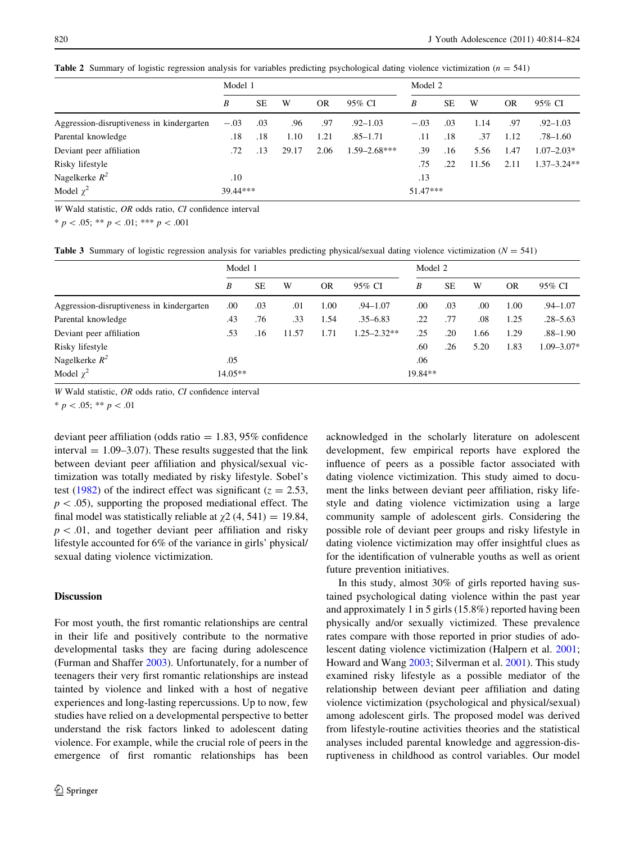<span id="page-6-0"></span>**Table 2** Summary of logistic regression analysis for variables predicting psychological dating violence victimization  $(n = 541)$ 

|                                           | Model 1  |           |       |           |                  | Model 2    |           |       |      |                 |  |
|-------------------------------------------|----------|-----------|-------|-----------|------------------|------------|-----------|-------|------|-----------------|--|
|                                           | B        | <b>SE</b> | W     | <b>OR</b> | 95% CI           | B          | <b>SE</b> | W     | 0R   | 95% CI          |  |
| Aggression-disruptiveness in kindergarten | $-.03$   | .03       | .96   | .97       | $.92 - 1.03$     | $-.03$     | .03       | 1.14  | .97  | $.92 - 1.03$    |  |
| Parental knowledge                        | .18      | .18       | 1.10  | 1.21      | $.85 - 1.71$     | .11        | .18       | .37   | 1.12 | $.78 - 1.60$    |  |
| Deviant peer affiliation                  | .72      | .13       | 29.17 | 2.06      | $1.59 - 2.68***$ | .39        | .16       | 5.56  | 1.47 | $1.07 - 2.03*$  |  |
| Risky lifestyle                           |          |           |       |           |                  | .75        | .22       | 11.56 | 2.11 | $1.37 - 3.24**$ |  |
| Nagelkerke $R^2$                          | .10      |           |       |           |                  | .13        |           |       |      |                 |  |
| Model $\chi^2$                            | 39.44*** |           |       |           |                  | $51.47***$ |           |       |      |                 |  |

W Wald statistic, OR odds ratio, CI confidence interval

 $p < 0.05$ ; \*\*  $p < 0.01$ ; \*\*\*  $p < 0.001$ 

**Table 3** Summary of logistic regression analysis for variables predicting physical/sexual dating violence victimization ( $N = 541$ )

|                                           | Model 1   |           |       |           |                 | Model 2 |           |      |           |                |  |
|-------------------------------------------|-----------|-----------|-------|-----------|-----------------|---------|-----------|------|-----------|----------------|--|
|                                           | B         | <b>SE</b> | W     | <b>OR</b> | 95% CI          | B       | <b>SE</b> | W    | <b>OR</b> | 95% CI         |  |
| Aggression-disruptiveness in kindergarten | .00.      | .03       | .01   | 1.00      | $.94 - 1.07$    | .00.    | .03       | .00  | 1.00      | $.94 - 1.07$   |  |
| Parental knowledge                        | .43       | .76       | .33   | 1.54      | $.35 - 6.83$    | .22     | .77       | .08  | 1.25      | $.28 - 5.63$   |  |
| Deviant peer affiliation                  | .53       | .16       | 11.57 | 1.71      | $1.25 - 2.32**$ | .25     | .20       | 1.66 | 1.29      | $.88 - 1.90$   |  |
| Risky lifestyle                           |           |           |       |           |                 | .60     | .26       | 5.20 | 1.83      | $1.09 - 3.07*$ |  |
| Nagelkerke $R^2$                          | .05       |           |       |           |                 | .06     |           |      |           |                |  |
| Model $\chi^2$                            | $14.05**$ |           |       |           |                 | 19.84** |           |      |           |                |  |

W Wald statistic, OR odds ratio, CI confidence interval

\*  $p$  < .05; \*\*  $p$  < .01

deviant peer affiliation (odds ratio  $= 1.83, 95\%$  confidence interval  $= 1.09 - 3.07$ . These results suggested that the link between deviant peer affiliation and physical/sexual victimization was totally mediated by risky lifestyle. Sobel's test [\(1982](#page-10-0)) of the indirect effect was significant ( $z = 2.53$ ,  $p\lt$  .05), supporting the proposed mediational effect. The final model was statistically reliable at  $\chi$ 2 (4, 541) = 19.84,  $p\lt 0.01$ , and together deviant peer affiliation and risky lifestyle accounted for 6% of the variance in girls' physical/ sexual dating violence victimization.

# **Discussion**

For most youth, the first romantic relationships are central in their life and positively contribute to the normative developmental tasks they are facing during adolescence (Furman and Shaffer [2003\)](#page-9-0). Unfortunately, for a number of teenagers their very first romantic relationships are instead tainted by violence and linked with a host of negative experiences and long-lasting repercussions. Up to now, few studies have relied on a developmental perspective to better understand the risk factors linked to adolescent dating violence. For example, while the crucial role of peers in the emergence of first romantic relationships has been

acknowledged in the scholarly literature on adolescent development, few empirical reports have explored the influence of peers as a possible factor associated with dating violence victimization. This study aimed to document the links between deviant peer affiliation, risky lifestyle and dating violence victimization using a large community sample of adolescent girls. Considering the possible role of deviant peer groups and risky lifestyle in dating violence victimization may offer insightful clues as for the identification of vulnerable youths as well as orient future prevention initiatives.

In this study, almost 30% of girls reported having sustained psychological dating violence within the past year and approximately 1 in 5 girls (15.8%) reported having been physically and/or sexually victimized. These prevalence rates compare with those reported in prior studies of adolescent dating violence victimization (Halpern et al. [2001](#page-9-0); Howard and Wang [2003;](#page-9-0) Silverman et al. [2001](#page-10-0)). This study examined risky lifestyle as a possible mediator of the relationship between deviant peer affiliation and dating violence victimization (psychological and physical/sexual) among adolescent girls. The proposed model was derived from lifestyle-routine activities theories and the statistical analyses included parental knowledge and aggression-disruptiveness in childhood as control variables. Our model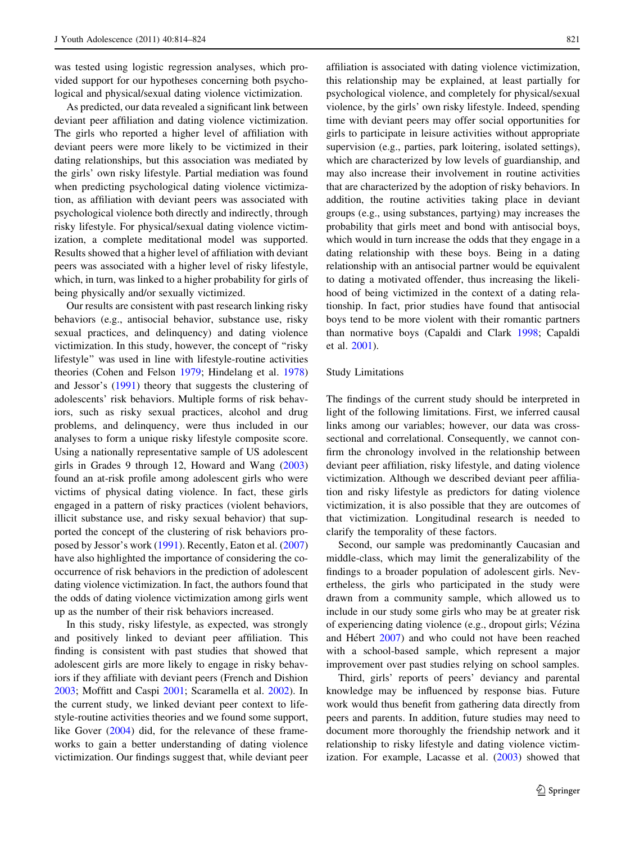was tested using logistic regression analyses, which provided support for our hypotheses concerning both psychological and physical/sexual dating violence victimization.

As predicted, our data revealed a significant link between deviant peer affiliation and dating violence victimization. The girls who reported a higher level of affiliation with deviant peers were more likely to be victimized in their dating relationships, but this association was mediated by the girls' own risky lifestyle. Partial mediation was found when predicting psychological dating violence victimization, as affiliation with deviant peers was associated with psychological violence both directly and indirectly, through risky lifestyle. For physical/sexual dating violence victimization, a complete meditational model was supported. Results showed that a higher level of affiliation with deviant peers was associated with a higher level of risky lifestyle, which, in turn, was linked to a higher probability for girls of being physically and/or sexually victimized.

Our results are consistent with past research linking risky behaviors (e.g., antisocial behavior, substance use, risky sexual practices, and delinquency) and dating violence victimization. In this study, however, the concept of ''risky lifestyle'' was used in line with lifestyle-routine activities theories (Cohen and Felson [1979;](#page-9-0) Hindelang et al. [1978\)](#page-9-0) and Jessor's [\(1991](#page-9-0)) theory that suggests the clustering of adolescents' risk behaviors. Multiple forms of risk behaviors, such as risky sexual practices, alcohol and drug problems, and delinquency, were thus included in our analyses to form a unique risky lifestyle composite score. Using a nationally representative sample of US adolescent girls in Grades 9 through 12, Howard and Wang ([2003\)](#page-9-0) found an at-risk profile among adolescent girls who were victims of physical dating violence. In fact, these girls engaged in a pattern of risky practices (violent behaviors, illicit substance use, and risky sexual behavior) that supported the concept of the clustering of risk behaviors proposed by Jessor's work ([1991\)](#page-9-0). Recently, Eaton et al. ([2007\)](#page-9-0) have also highlighted the importance of considering the cooccurrence of risk behaviors in the prediction of adolescent dating violence victimization. In fact, the authors found that the odds of dating violence victimization among girls went up as the number of their risk behaviors increased.

In this study, risky lifestyle, as expected, was strongly and positively linked to deviant peer affiliation. This finding is consistent with past studies that showed that adolescent girls are more likely to engage in risky behaviors if they affiliate with deviant peers (French and Dishion [2003;](#page-9-0) Moffitt and Caspi [2001](#page-9-0); Scaramella et al. [2002\)](#page-9-0). In the current study, we linked deviant peer context to lifestyle-routine activities theories and we found some support, like Gover ([2004\)](#page-9-0) did, for the relevance of these frameworks to gain a better understanding of dating violence victimization. Our findings suggest that, while deviant peer affiliation is associated with dating violence victimization, this relationship may be explained, at least partially for psychological violence, and completely for physical/sexual violence, by the girls' own risky lifestyle. Indeed, spending time with deviant peers may offer social opportunities for girls to participate in leisure activities without appropriate supervision (e.g., parties, park loitering, isolated settings), which are characterized by low levels of guardianship, and may also increase their involvement in routine activities that are characterized by the adoption of risky behaviors. In addition, the routine activities taking place in deviant groups (e.g., using substances, partying) may increases the probability that girls meet and bond with antisocial boys, which would in turn increase the odds that they engage in a dating relationship with these boys. Being in a dating relationship with an antisocial partner would be equivalent to dating a motivated offender, thus increasing the likelihood of being victimized in the context of a dating relationship. In fact, prior studies have found that antisocial boys tend to be more violent with their romantic partners than normative boys (Capaldi and Clark [1998](#page-9-0); Capaldi et al. [2001\)](#page-9-0).

#### Study Limitations

The findings of the current study should be interpreted in light of the following limitations. First, we inferred causal links among our variables; however, our data was crosssectional and correlational. Consequently, we cannot confirm the chronology involved in the relationship between deviant peer affiliation, risky lifestyle, and dating violence victimization. Although we described deviant peer affiliation and risky lifestyle as predictors for dating violence victimization, it is also possible that they are outcomes of that victimization. Longitudinal research is needed to clarify the temporality of these factors.

Second, our sample was predominantly Caucasian and middle-class, which may limit the generalizability of the findings to a broader population of adolescent girls. Nevertheless, the girls who participated in the study were drawn from a community sample, which allowed us to include in our study some girls who may be at greater risk of experiencing dating violence (e.g., dropout girls; Vézina and Hébert  $2007$ ) and who could not have been reached with a school-based sample, which represent a major improvement over past studies relying on school samples.

Third, girls' reports of peers' deviancy and parental knowledge may be influenced by response bias. Future work would thus benefit from gathering data directly from peers and parents. In addition, future studies may need to document more thoroughly the friendship network and it relationship to risky lifestyle and dating violence victimization. For example, Lacasse et al. [\(2003](#page-9-0)) showed that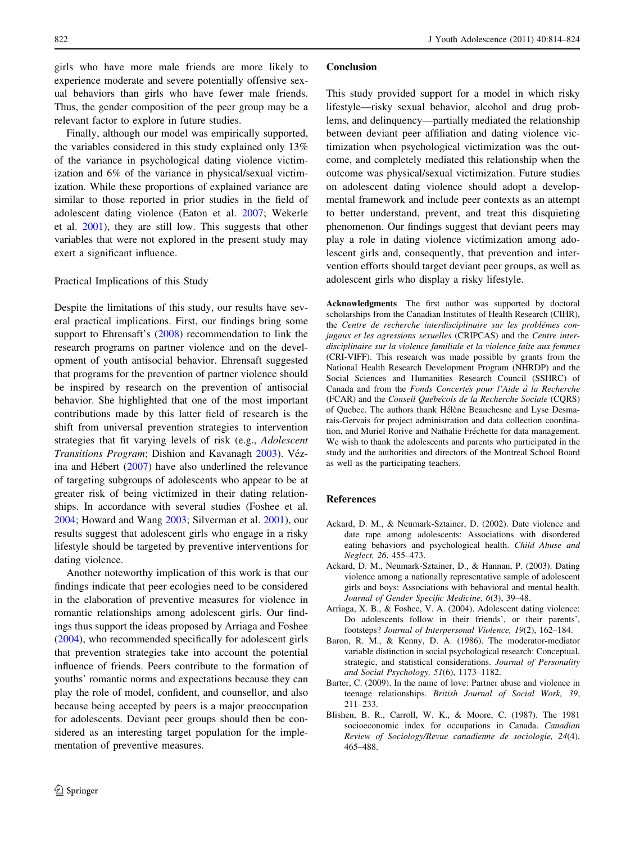<span id="page-8-0"></span>girls who have more male friends are more likely to experience moderate and severe potentially offensive sexual behaviors than girls who have fewer male friends. Thus, the gender composition of the peer group may be a relevant factor to explore in future studies.

Finally, although our model was empirically supported, the variables considered in this study explained only 13% of the variance in psychological dating violence victimization and 6% of the variance in physical/sexual victimization. While these proportions of explained variance are similar to those reported in prior studies in the field of adolescent dating violence (Eaton et al. [2007](#page-9-0); Wekerle et al. [2001](#page-10-0)), they are still low. This suggests that other variables that were not explored in the present study may exert a significant influence.

# Practical Implications of this Study

Despite the limitations of this study, our results have several practical implications. First, our findings bring some support to Ehrensaft's [\(2008](#page-9-0)) recommendation to link the research programs on partner violence and on the development of youth antisocial behavior. Ehrensaft suggested that programs for the prevention of partner violence should be inspired by research on the prevention of antisocial behavior. She highlighted that one of the most important contributions made by this latter field of research is the shift from universal prevention strategies to intervention strategies that fit varying levels of risk (e.g., Adolescent Transitions Program; Dishion and Kavanagh [2003](#page-9-0)). Vézina and Hébert  $(2007)$  $(2007)$  have also underlined the relevance of targeting subgroups of adolescents who appear to be at greater risk of being victimized in their dating relationships. In accordance with several studies (Foshee et al. [2004;](#page-9-0) Howard and Wang [2003](#page-9-0); Silverman et al. [2001](#page-10-0)), our results suggest that adolescent girls who engage in a risky lifestyle should be targeted by preventive interventions for dating violence.

Another noteworthy implication of this work is that our findings indicate that peer ecologies need to be considered in the elaboration of preventive measures for violence in romantic relationships among adolescent girls. Our findings thus support the ideas proposed by Arriaga and Foshee (2004), who recommended specifically for adolescent girls that prevention strategies take into account the potential influence of friends. Peers contribute to the formation of youths' romantic norms and expectations because they can play the role of model, confident, and counsellor, and also because being accepted by peers is a major preoccupation for adolescents. Deviant peer groups should then be considered as an interesting target population for the implementation of preventive measures.

#### Conclusion

This study provided support for a model in which risky lifestyle—risky sexual behavior, alcohol and drug problems, and delinquency—partially mediated the relationship between deviant peer affiliation and dating violence victimization when psychological victimization was the outcome, and completely mediated this relationship when the outcome was physical/sexual victimization. Future studies on adolescent dating violence should adopt a developmental framework and include peer contexts as an attempt to better understand, prevent, and treat this disquieting phenomenon. Our findings suggest that deviant peers may play a role in dating violence victimization among adolescent girls and, consequently, that prevention and intervention efforts should target deviant peer groups, as well as adolescent girls who display a risky lifestyle.

Acknowledgments The first author was supported by doctoral scholarships from the Canadian Institutes of Health Research (CIHR), the Centre de recherche interdisciplinaire sur les problèmes conjugaux et les agressions sexuelles (CRIPCAS) and the Centre interdisciplinaire sur la violence familiale et la violence faite aux femmes (CRI-VIFF). This research was made possible by grants from the National Health Research Development Program (NHRDP) and the Social Sciences and Humanities Research Council (SSHRC) of Canada and from the Fonds Concertés pour l'Aide à la Recherche (FCAR) and the Conseil Quebecois de la Recherche Sociale (CQRS) of Quebec. The authors thank Hélène Beauchesne and Lyse Desmarais-Gervais for project administration and data collection coordination, and Muriel Rorive and Nathalie Fréchette for data management. We wish to thank the adolescents and parents who participated in the study and the authorities and directors of the Montreal School Board as well as the participating teachers.

#### References

- Ackard, D. M., & Neumark-Sztainer, D. (2002). Date violence and date rape among adolescents: Associations with disordered eating behaviors and psychological health. Child Abuse and Neglect, 26, 455–473.
- Ackard, D. M., Neumark-Sztainer, D., & Hannan, P. (2003). Dating violence among a nationally representative sample of adolescent girls and boys: Associations with behavioral and mental health. Journal of Gender Specific Medicine, 6(3), 39–48.
- Arriaga, X. B., & Foshee, V. A. (2004). Adolescent dating violence: Do adolescents follow in their friends', or their parents', footsteps? Journal of Interpersonal Violence, 19(2), 162–184.
- Baron, R. M., & Kenny, D. A. (1986). The moderator-mediator variable distinction in social psychological research: Conceptual, strategic, and statistical considerations. Journal of Personality and Social Psychology, 51(6), 1173–1182.
- Barter, C. (2009). In the name of love: Partner abuse and violence in teenage relationships. British Journal of Social Work, 39, 211–233.
- Blishen, B. R., Carroll, W. K., & Moore, C. (1987). The 1981 socioeconomic index for occupations in Canada. Canadian Review of Sociology/Revue canadienne de sociologie, 24(4), 465–488.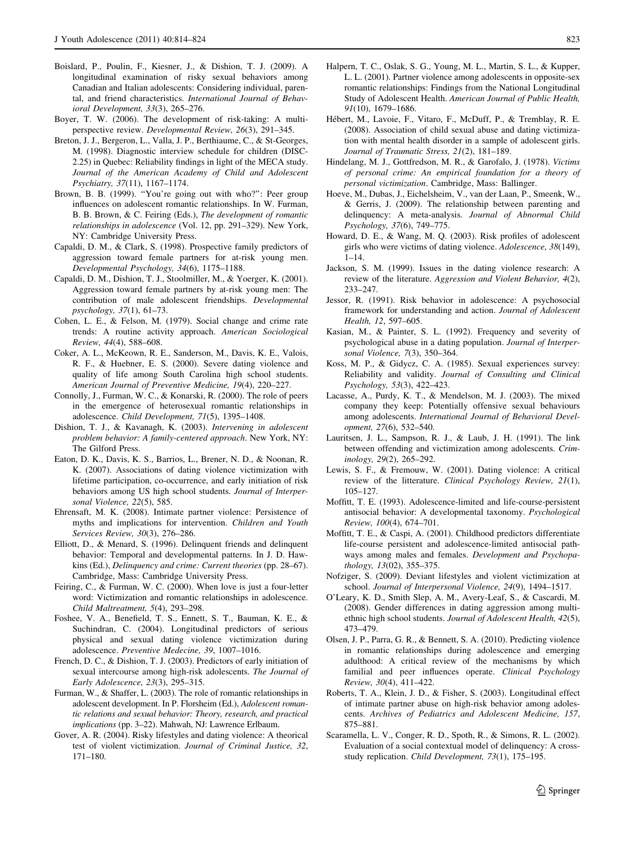- <span id="page-9-0"></span>Boislard, P., Poulin, F., Kiesner, J., & Dishion, T. J. (2009). A longitudinal examination of risky sexual behaviors among Canadian and Italian adolescents: Considering individual, parental, and friend characteristics. International Journal of Behavioral Development, 33(3), 265–276.
- Boyer, T. W. (2006). The development of risk-taking: A multiperspective review. Developmental Review, 26(3), 291–345.
- Breton, J. J., Bergeron, L., Valla, J. P., Berthiaume, C., & St-Georges, M. (1998). Diagnostic interview schedule for children (DISC-2.25) in Quebec: Reliability findings in light of the MECA study. Journal of the American Academy of Child and Adolescent Psychiatry, 37(11), 1167–1174.
- Brown, B. B. (1999). "You're going out with who?": Peer group influences on adolescent romantic relationships. In W. Furman, B. B. Brown, & C. Feiring (Eds.), The development of romantic relationships in adolescence (Vol. 12, pp. 291–329). New York, NY: Cambridge University Press.
- Capaldi, D. M., & Clark, S. (1998). Prospective family predictors of aggression toward female partners for at-risk young men. Developmental Psychology, 34(6), 1175–1188.
- Capaldi, D. M., Dishion, T. J., Stoolmiller, M., & Yoerger, K. (2001). Aggression toward female partners by at-risk young men: The contribution of male adolescent friendships. Developmental psychology, 37(1), 61–73.
- Cohen, L. E., & Felson, M. (1979). Social change and crime rate trends: A routine activity approach. American Sociological Review, 44(4), 588–608.
- Coker, A. L., McKeown, R. E., Sanderson, M., Davis, K. E., Valois, R. F., & Huebner, E. S. (2000). Severe dating violence and quality of life among South Carolina high school students. American Journal of Preventive Medicine, 19(4), 220–227.
- Connolly, J., Furman, W. C., & Konarski, R. (2000). The role of peers in the emergence of heterosexual romantic relationships in adolescence. Child Development, 71(5), 1395–1408.
- Dishion, T. J., & Kavanagh, K. (2003). Intervening in adolescent problem behavior: A family-centered approach. New York, NY: The Gilford Press.
- Eaton, D. K., Davis, K. S., Barrios, L., Brener, N. D., & Noonan, R. K. (2007). Associations of dating violence victimization with lifetime participation, co-occurrence, and early initiation of risk behaviors among US high school students. Journal of Interpersonal Violence, 22(5), 585.
- Ehrensaft, M. K. (2008). Intimate partner violence: Persistence of myths and implications for intervention. Children and Youth Services Review, 30(3), 276–286.
- Elliott, D., & Menard, S. (1996). Delinquent friends and delinquent behavior: Temporal and developmental patterns. In J. D. Hawkins (Ed.), Delinquency and crime: Current theories (pp. 28–67). Cambridge, Mass: Cambridge University Press.
- Feiring, C., & Furman, W. C. (2000). When love is just a four-letter word: Victimization and romantic relationships in adolescence. Child Maltreatment, 5(4), 293–298.
- Foshee, V. A., Benefield, T. S., Ennett, S. T., Bauman, K. E., & Suchindran, C. (2004). Longitudinal predictors of serious physical and sexual dating violence victimization during adolescence. Preventive Medecine, 39, 1007–1016.
- French, D. C., & Dishion, T. J. (2003). Predictors of early initiation of sexual intercourse among high-risk adolescents. The Journal of Early Adolescence, 23(3), 295–315.
- Furman, W., & Shaffer, L. (2003). The role of romantic relationships in adolescent development. In P. Florsheim (Ed.), Adolescent romantic relations and sexual behavior: Theory, research, and practical implications (pp. 3–22). Mahwah, NJ: Lawrence Erlbaum.
- Gover, A. R. (2004). Risky lifestyles and dating violence: A theorical test of violent victimization. Journal of Criminal Justice, 32, 171–180.
- Halpern, T. C., Oslak, S. G., Young, M. L., Martin, S. L., & Kupper, L. L. (2001). Partner violence among adolescents in opposite-sex romantic relationships: Findings from the National Longitudinal Study of Adolescent Health. American Journal of Public Health, 91(10), 1679–1686.
- Hébert, M., Lavoie, F., Vitaro, F., McDuff, P., & Tremblay, R. E. (2008). Association of child sexual abuse and dating victimization with mental health disorder in a sample of adolescent girls. Journal of Traumatic Stress, 21(2), 181–189.
- Hindelang, M. J., Gottfredson, M. R., & Garofalo, J. (1978). Victims of personal crime: An empirical foundation for a theory of personal victimization. Cambridge, Mass: Ballinger.
- Hoeve, M., Dubas, J., Eichelsheim, V., van der Laan, P., Smeenk, W., & Gerris, J. (2009). The relationship between parenting and delinquency: A meta-analysis. Journal of Abnormal Child Psychology, 37(6), 749–775.
- Howard, D. E., & Wang, M. Q. (2003). Risk profiles of adolescent girls who were victims of dating violence. Adolescence, 38(149), 1–14.
- Jackson, S. M. (1999). Issues in the dating violence research: A review of the literature. Aggression and Violent Behavior, 4(2), 233–247.
- Jessor, R. (1991). Risk behavior in adolescence: A psychosocial framework for understanding and action. Journal of Adolescent Health, 12, 597–605.
- Kasian, M., & Painter, S. L. (1992). Frequency and severity of psychological abuse in a dating population. Journal of Interpersonal Violence, 7(3), 350–364.
- Koss, M. P., & Gidycz, C. A. (1985). Sexual experiences survey: Reliability and validity. Journal of Consulting and Clinical Psychology, 53(3), 422–423.
- Lacasse, A., Purdy, K. T., & Mendelson, M. J. (2003). The mixed company they keep: Potentially offensive sexual behaviours among adolescents. International Journal of Behavioral Development, 27(6), 532–540.
- Lauritsen, J. L., Sampson, R. J., & Laub, J. H. (1991). The link between offending and victimization among adolescents. Criminology, 29(2), 265–292.
- Lewis, S. F., & Fremouw, W. (2001). Dating violence: A critical review of the litterature. Clinical Psychology Review, 21(1), 105–127.
- Moffitt, T. E. (1993). Adolescence-limited and life-course-persistent antisocial behavior: A developmental taxonomy. Psychological Review, 100(4), 674–701.
- Moffitt, T. E., & Caspi, A. (2001). Childhood predictors differentiate life-course persistent and adolescence-limited antisocial pathways among males and females. Development and Psychopathology, 13(02), 355–375.
- Nofziger, S. (2009). Deviant lifestyles and violent victimization at school. Journal of Interpersonal Violence, 24(9), 1494–1517.
- O'Leary, K. D., Smith Slep, A. M., Avery-Leaf, S., & Cascardi, M. (2008). Gender differences in dating aggression among multiethnic high school students. Journal of Adolescent Health, 42(5), 473–479.
- Olsen, J. P., Parra, G. R., & Bennett, S. A. (2010). Predicting violence in romantic relationships during adolescence and emerging adulthood: A critical review of the mechanisms by which familial and peer influences operate. Clinical Psychology Review, 30(4), 411–422.
- Roberts, T. A., Klein, J. D., & Fisher, S. (2003). Longitudinal effect of intimate partner abuse on high-risk behavior among adolescents. Archives of Pediatrics and Adolescent Medicine, 157, 875–881.
- Scaramella, L. V., Conger, R. D., Spoth, R., & Simons, R. L. (2002). Evaluation of a social contextual model of delinquency: A crossstudy replication. Child Development, 73(1), 175–195.